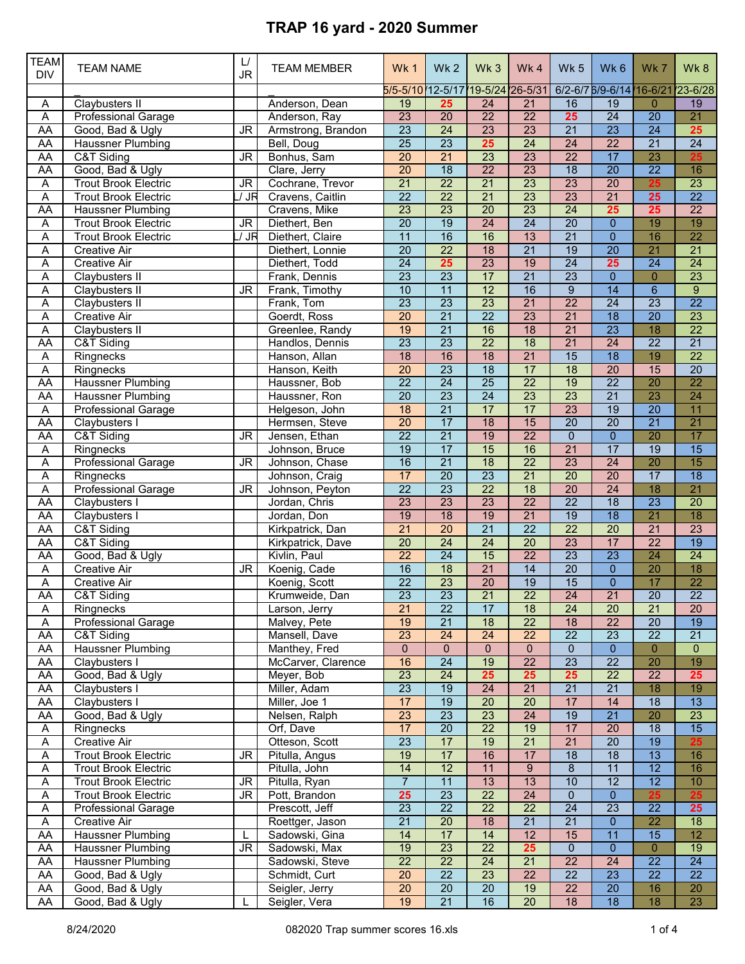| TEAM<br><b>DIV</b>     | <b>TEAM NAME</b>                                     | L/<br>JR                          | <b>TEAM MEMBER</b>               | Wk1                                | Wk <sub>2</sub>                    | Wk <sub>3</sub>                    | Wk4                                | Wk <sub>5</sub>                    | Wk6                            | Wk7                               | Wk8             |
|------------------------|------------------------------------------------------|-----------------------------------|----------------------------------|------------------------------------|------------------------------------|------------------------------------|------------------------------------|------------------------------------|--------------------------------|-----------------------------------|-----------------|
|                        |                                                      |                                   |                                  | $5/5 - 5/10$                       | $12 - 5/17$                        |                                    | 19-5/24 26-5/31                    |                                    | 6/2-6/7 6/9-6/14 16-6/21       |                                   | 23-6/28         |
| Α                      | Claybusters II                                       |                                   | Anderson, Dean                   | 19                                 | 25<br>$\overline{20}$              | $\overline{24}$<br>$\overline{22}$ | $\overline{21}$<br>$\overline{22}$ | 16                                 | 19<br>24                       | $\overline{0}$<br>$\overline{20}$ | 19              |
| $\overline{A}$<br>AA   | <b>Professional Garage</b>                           |                                   | Anderson, Ray                    | 23<br>$\overline{23}$              | $\overline{24}$                    | 23                                 | 23                                 | 25<br>$\overline{21}$              | 23                             | $\overline{24}$                   | 21<br>25        |
|                        | Good, Bad & Ugly                                     | <b>JR</b>                         | Armstrong, Brandon               | $\overline{25}$                    | $\overline{23}$                    | 25                                 | $\overline{24}$                    | $\overline{24}$                    | $\overline{22}$                | $\overline{21}$                   | $\overline{24}$ |
| <b>AA</b><br><b>AA</b> | <b>Haussner Plumbing</b><br>C&T Siding               | $\overline{\mathsf{J}\mathsf{R}}$ | Bell, Doug<br>Bonhus, Sam        | $\overline{20}$                    | $\overline{21}$                    | 23                                 | 23                                 | $\overline{22}$                    | $\overline{17}$                | 23                                | 25              |
| AA                     | Good, Bad & Ugly                                     |                                   | Clare, Jerry                     | $\overline{20}$                    | $\overline{18}$                    | $\overline{22}$                    | 23                                 | $\overline{18}$                    | $\overline{20}$                | $\overline{22}$                   | 16              |
|                        | <b>Trout Brook Electric</b>                          | JR                                | Cochrane, Trevor                 | $\overline{21}$                    | $\overline{22}$                    | $\overline{21}$                    | $\overline{23}$                    | 23                                 | $\overline{20}$                | 25                                | $\overline{23}$ |
| Α<br>Α                 | <b>Trout Brook Electric</b>                          | / JR                              | Cravens, Caitlin                 | $\overline{22}$                    | $\overline{22}$                    | $\overline{21}$                    | 23                                 | 23                                 | $\overline{21}$                | 25                                | $\overline{22}$ |
| <b>AA</b>              | <b>Haussner Plumbing</b>                             |                                   | Cravens, Mike                    | 23                                 | $\overline{23}$                    | $\overline{20}$                    | 23                                 | $\overline{24}$                    | 25                             | 25                                | $\overline{22}$ |
| Α                      | <b>Trout Brook Electric</b>                          | $\overline{\mathsf{J}\mathsf{R}}$ | Diethert, Ben                    | $\overline{20}$                    | $\overline{19}$                    | 24                                 | $\overline{24}$                    | $\overline{20}$                    | $\mathbf{0}$                   | 19                                | 19              |
| Α                      | <b>Trout Brook Electric</b>                          | / JR                              | Diethert, Claire                 | 11                                 | 16                                 | 16                                 | 13                                 | $\overline{21}$                    | $\overline{0}$                 | 16                                | $\overline{22}$ |
| Α                      | Creative Air                                         |                                   | Diethert, Lonnie                 | $\overline{20}$                    | $\overline{22}$                    | $\overline{18}$                    | $\overline{21}$                    | 19                                 | $\overline{20}$                | $\overline{21}$                   | $\overline{21}$ |
| Α                      | <b>Creative Air</b>                                  |                                   | Diethert, Todd                   | 24                                 | 25                                 | 23                                 | 19                                 | 24                                 | 25                             | $\overline{24}$                   | $\overline{24}$ |
| Α                      | <b>Claybusters II</b>                                |                                   | Frank, Dennis                    | 23                                 | $\overline{23}$                    | 17                                 | $\overline{21}$                    | 23                                 | $\overline{0}$                 | $\overline{0}$                    | $\overline{23}$ |
| Α                      | Claybusters II                                       | JR.                               | Frank, Timothy                   | 10                                 | $\overline{11}$                    | $\overline{12}$                    | 16                                 | $\overline{9}$                     | $\overline{14}$                | $\overline{6}$                    | $\overline{9}$  |
| Α                      | <b>Claybusters II</b>                                |                                   | Frank, Tom                       | $\overline{23}$                    | $\overline{23}$                    | $\overline{23}$                    | $\overline{21}$                    | $\overline{22}$                    | $\overline{24}$                | $\overline{23}$                   | $\overline{22}$ |
| Α                      | <b>Creative Air</b>                                  |                                   | Goerdt, Ross                     | $\overline{20}$                    | $\overline{21}$                    | $\overline{22}$                    | $\overline{23}$                    | $\overline{21}$                    | $\overline{18}$                | $\overline{20}$                   | 23              |
| Α                      | <b>Claybusters II</b>                                |                                   | Greenlee, Randy                  | 19                                 | $\overline{21}$                    | 16                                 | $\overline{18}$                    | $\overline{21}$                    | $\overline{23}$                | 18                                | $\overline{22}$ |
| <b>AA</b>              | C&T Siding                                           |                                   | Handlos, Dennis                  | $\overline{23}$                    | $\overline{23}$                    | $\overline{22}$                    | $\overline{18}$                    | $\overline{21}$                    | 24                             | $\overline{22}$                   | $\overline{21}$ |
| Α                      | Ringnecks                                            |                                   | Hanson, Allan                    | $\overline{18}$                    | 16                                 | 18                                 | $\overline{21}$                    | $\overline{15}$                    | $\overline{18}$                | 19                                | $\overline{22}$ |
| A                      | Ringnecks                                            |                                   | Hanson, Keith                    | $\overline{20}$                    | $\overline{23}$                    | $\overline{18}$                    | $\overline{17}$                    | $\overline{18}$                    | $\overline{20}$                | 15                                | $\overline{20}$ |
| AA                     | <b>Haussner Plumbing</b>                             |                                   | Haussner, Bob                    | $\overline{22}$                    | 24                                 | $\overline{25}$                    | $\overline{22}$                    | 19                                 | $\overline{22}$                | 20                                | $\overline{22}$ |
| AA                     | <b>Haussner Plumbing</b>                             |                                   | Haussner, Ron                    | 20                                 | 23                                 | 24                                 | 23                                 | 23                                 | $\overline{21}$                | $\overline{23}$                   | $\overline{24}$ |
| Α                      | <b>Professional Garage</b>                           |                                   | Helgeson, John                   | 18                                 | $\overline{21}$                    | 17                                 | 17                                 | 23                                 | $\overline{19}$                | $\overline{20}$                   | $\overline{11}$ |
| <b>AA</b>              | Claybusters I                                        |                                   | Hermsen, Steve                   | $\overline{20}$                    | $\overline{17}$                    | $\overline{18}$                    | 15                                 | $\overline{20}$                    | $\overline{20}$                | $\overline{21}$                   | $\overline{21}$ |
| <b>AA</b>              | C&T Siding                                           | $\overline{\mathsf{J}\mathsf{R}}$ | Jensen, Ethan                    | $\overline{22}$                    | $\overline{21}$                    | 19                                 | $\overline{22}$                    | $\mathbf{0}$                       | $\mathbf{0}$                   | 20                                | 17              |
| Α                      | Ringnecks                                            |                                   | Johnson, Bruce                   | 19                                 | $\overline{17}$                    | 15                                 | 16                                 | $\overline{21}$                    | 17                             | 19                                | $\overline{15}$ |
| Α                      | <b>Professional Garage</b>                           | JR                                | Johnson, Chase                   | 16                                 | $\overline{21}$                    | 18                                 | $\overline{22}$                    | 23                                 | $\overline{24}$                | 20                                | 15              |
| Α                      | Ringnecks                                            |                                   | Johnson, Craig                   | 17                                 | $\overline{20}$                    | $\overline{23}$                    | $\overline{21}$                    | $\overline{20}$                    | $\overline{20}$                | 17                                | $\overline{18}$ |
| $\overline{A}$         | <b>Professional Garage</b>                           | JR.                               | Johnson, Peyton                  | $\overline{22}$                    | 23                                 | $\overline{22}$                    | 18                                 | 20                                 | $\overline{24}$                | 18                                | $\overline{21}$ |
| AA                     | Claybusters I                                        |                                   | Jordan, Chris                    | 23                                 | 23                                 | 23                                 | $\overline{22}$                    | $\overline{22}$                    | $\overline{18}$                | 23                                | $\overline{20}$ |
| <b>AA</b>              | Claybusters I                                        |                                   | Jordan, Don                      | 19                                 | $\overline{18}$                    | 19                                 | $\overline{21}$                    | 19                                 | $\overline{18}$                | $\overline{21}$                   | $\overline{18}$ |
| <b>AA</b>              | C&T Siding                                           |                                   | Kirkpatrick, Dan                 | $\overline{21}$                    | $\overline{20}$                    | $\overline{21}$                    | $\overline{22}$                    | $\overline{22}$                    | $\overline{20}$                | 21                                | 23              |
| AA                     | C&T Siding                                           |                                   | Kirkpatrick, Dave                | $\overline{20}$                    | $\overline{24}$                    | $\overline{24}$                    | 20                                 | 23                                 | 17                             | $\overline{22}$                   | 19              |
| <b>AA</b>              | Good, Bad & Ugly                                     |                                   | Kivlin, Paul                     | $\overline{22}$                    | $\overline{24}$                    | 15                                 | $\overline{22}$                    | $\overline{23}$                    | $\overline{23}$                | 24                                | $\overline{24}$ |
| Α                      | <b>Creative Air</b>                                  | <b>JR</b>                         | Koenig, Cade                     | 16                                 | $\overline{18}$                    | $\overline{21}$                    | 14                                 | $\overline{20}$                    | $\mathbf{0}$                   | 20                                | 18              |
| Α                      | Creative Air                                         |                                   | Koenig, Scott                    | $\overline{22}$                    | $\overline{23}$                    | $\overline{20}$                    | $\overline{19}$                    | 15                                 | $\mathbf{0}$                   | 17                                | $\overline{22}$ |
| AA                     | C&T Siding                                           |                                   | Krumweide, Dan                   | 23                                 | $\overline{23}$                    | $\overline{21}$                    | $\overline{22}$                    | $\overline{24}$                    | $\overline{21}$                | $\overline{20}$                   | $\overline{22}$ |
| Α                      | Ringnecks                                            |                                   | Larson, Jerry                    | $\overline{21}$                    | $\overline{22}$                    | 17                                 | $\overline{18}$                    | $\overline{24}$                    | $\overline{20}$                | $\overline{21}$                   | 20              |
| A                      | <b>Professional Garage</b>                           |                                   | Malvey, Pete                     | 19                                 | $\overline{21}$                    | $\overline{18}$                    | $\overline{22}$                    | 18                                 | $\overline{22}$                | $\overline{20}$                   | 19              |
| <b>AA</b>              | C&T Siding                                           |                                   | Mansell, Dave                    | 23                                 | $\overline{24}$                    | 24                                 | $\overline{22}$                    | $\overline{22}$                    | $\overline{23}$                | $\overline{22}$                   | $\overline{21}$ |
| AA                     | <b>Haussner Plumbing</b>                             |                                   | Manthey, Fred                    | $\overline{0}$                     | $\mathbf{0}$                       | $\overline{0}$                     | $\pmb{0}$                          | $\overline{0}$                     | $\mathbf{0}$                   | $\overline{0}$                    | $\mathbf{0}$    |
| AA                     | Claybusters I                                        |                                   | McCarver, Clarence               | 16                                 | 24                                 | 19                                 | $\overline{22}$                    | $\overline{23}$                    | $\overline{22}$                | 20                                | 19              |
| AA                     | Good, Bad & Ugly                                     |                                   | Meyer, Bob                       | 23                                 | $\overline{24}$                    | 25                                 | 25                                 | 25                                 | $\overline{22}$                | $\overline{22}$                   | 25              |
| AA                     | Claybusters I                                        |                                   | Miller, Adam                     | $\overline{23}$                    | 19                                 | 24                                 | 21                                 | $\overline{21}$                    | $\overline{21}$                | 18                                | 19              |
| AA                     | Claybusters I                                        |                                   | Miller, Joe 1                    | 17                                 | 19                                 | $\overline{20}$                    | $\overline{20}$                    | 17                                 | $\overline{14}$                | $\overline{18}$                   | 13              |
| AA                     | Good, Bad & Ugly                                     |                                   | Nelsen, Ralph                    | 23                                 | 23                                 | $\overline{23}$                    | $\overline{24}$                    | 19                                 | $\overline{21}$                | 20                                | 23              |
| A                      | Ringnecks                                            |                                   | Orf, Dave                        | 17                                 | $\overline{20}$                    | $\overline{22}$                    | 19                                 | 17                                 | $\overline{20}$                | $\overline{18}$                   | 15              |
| Α                      | <b>Creative Air</b>                                  |                                   | Otteson, Scott                   | $\overline{23}$                    | 17                                 | 19                                 | $\overline{21}$                    | $\overline{21}$                    | $\overline{20}$                | 19                                | 25              |
| A                      | <b>Trout Brook Electric</b>                          | JR.                               | Pitulla, Angus                   | 19                                 | 17<br>12                           | 16                                 | 17                                 | 18                                 | $\overline{18}$                | 13                                | 16              |
| A                      | <b>Trout Brook Electric</b>                          |                                   | Pitulla, John                    | $\overline{14}$                    |                                    | 11                                 | $\overline{9}$                     | 8                                  | 11                             | $\overline{12}$                   | 16              |
| Α                      | <b>Trout Brook Electric</b>                          | JR                                | Pitulla, Ryan                    | $\overline{7}$                     | 11                                 | 13                                 | 13                                 | 10                                 | 12                             | 12                                | 10              |
| $\overline{A}$         | <b>Trout Brook Electric</b>                          | JR                                | Pott, Brandon                    | 25                                 | 23                                 | $\overline{22}$                    | 24                                 | $\overline{0}$                     | $\mathbf 0$                    | 25                                | 25              |
| A                      | <b>Professional Garage</b>                           |                                   | Prescott, Jeff                   | $\overline{23}$<br>$\overline{21}$ | $\overline{22}$<br>$\overline{20}$ | $\overline{22}$                    | $\overline{22}$<br>$\overline{21}$ | $\overline{24}$<br>$\overline{21}$ | $\overline{23}$                | $\overline{22}$                   | 25              |
| A                      | <b>Creative Air</b>                                  |                                   | Roettger, Jason                  |                                    | 17                                 | $\overline{18}$                    | 12                                 |                                    | $\mathbf{0}$                   | $\overline{22}$                   | 18<br>12        |
| <b>AA</b><br><b>AA</b> | <b>Haussner Plumbing</b><br><b>Haussner Plumbing</b> | L<br>JR                           | Sadowski, Gina                   | 14<br>19                           | 23                                 | 14<br>$\overline{22}$              | 25                                 | 15                                 | 11                             | 15                                | 19              |
|                        |                                                      |                                   | Sadowski, Max                    | $\overline{22}$                    | $\overline{22}$                    | $\overline{24}$                    | $\overline{21}$                    | 0<br>$\overline{22}$               | $\mathbf 0$<br>$\overline{24}$ | $\overline{0}$<br>$\overline{22}$ | $\overline{24}$ |
| AA<br>AA               | <b>Haussner Plumbing</b><br>Good, Bad & Ugly         |                                   | Sadowski, Steve<br>Schmidt, Curt | $\overline{20}$                    | $\overline{22}$                    | 23                                 | $\overline{22}$                    | $\overline{22}$                    | $\overline{23}$                | $\overline{22}$                   | $\overline{22}$ |
| AA                     | Good, Bad & Ugly                                     |                                   | Seigler, Jerry                   | $\overline{20}$                    | $\overline{20}$                    | $\overline{20}$                    | 19                                 | $\overline{22}$                    | $\overline{20}$                | 16                                | 20              |
| AA                     | Good, Bad & Ugly                                     | L                                 | Seigler, Vera                    | 19                                 | $\overline{21}$                    | 16                                 | $\overline{20}$                    | 18                                 | 18                             | 18                                | 23              |
|                        |                                                      |                                   |                                  |                                    |                                    |                                    |                                    |                                    |                                |                                   |                 |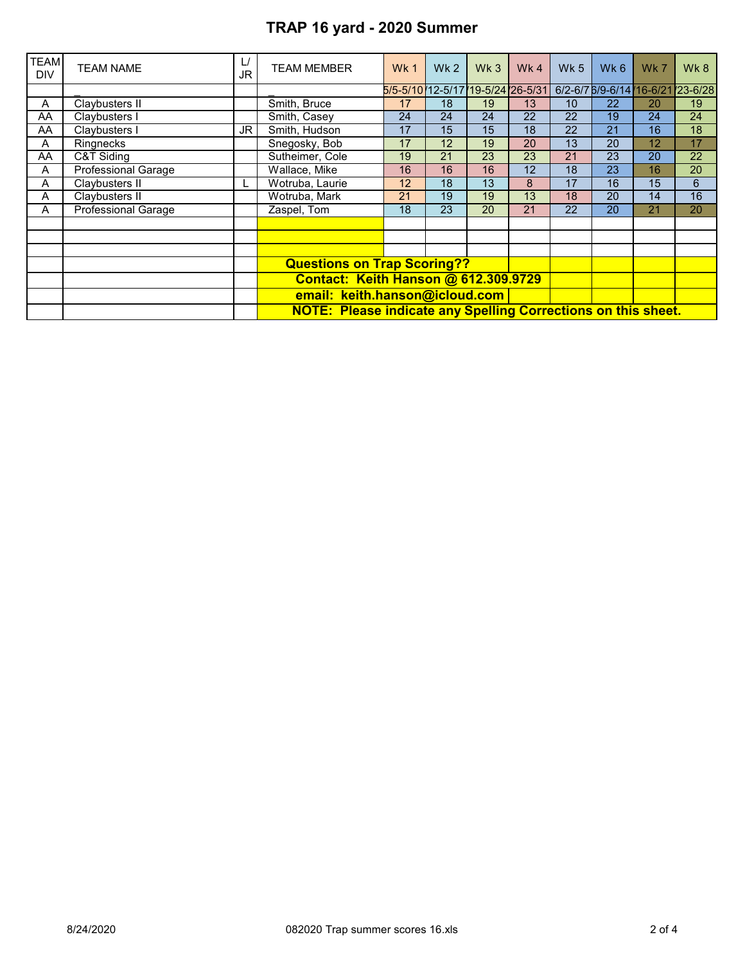| <b>TEAM</b><br><b>DIV</b> | <b>TEAM NAME</b>           | $\mathsf{L}/$<br>JR | TEAM MEMBER                                                          | Wk1                              | Wk <sub>2</sub> | Wk <sub>3</sub> | Wk $4$ | <b>Wk 5</b> | Wk <sub>6</sub>           | Wk 7 | Wk8           |  |  |
|---------------------------|----------------------------|---------------------|----------------------------------------------------------------------|----------------------------------|-----------------|-----------------|--------|-------------|---------------------------|------|---------------|--|--|
|                           |                            |                     |                                                                      | 5/5-5/10 12-5/17 19-5/24 26-5/31 |                 |                 |        |             | 6/2-6/7 6/9-6/14 (16-6/21 |      | $ 23 - 6/28 $ |  |  |
| A                         | Claybusters II             |                     | Smith, Bruce                                                         | 17                               | 18              | 19              | 13     | 10          | 22                        | 20   | 19            |  |  |
| AA                        | Claybusters I              |                     | Smith, Casey                                                         | 24                               | 24              | 24              | 22     | 22          | 19                        | 24   | 24            |  |  |
| AA                        | Claybusters I              | JR I                | Smith, Hudson                                                        | 17                               | 15              | 15              | 18     | 22          | 21                        | 16   | 18            |  |  |
| A                         | <b>Ringnecks</b>           |                     | Snegosky, Bob                                                        | 17                               | 12              | 19              | 20     | 13          | 20                        | 12   | 17            |  |  |
| AA                        | C&T Siding                 |                     | Sutheimer, Cole                                                      | 19                               | 21              | 23              | 23     | 21          | 23                        | 20   | 22            |  |  |
| A                         | Professional Garage        |                     | Wallace, Mike                                                        | 16                               | 16              | 16              | 12     | 18          | 23                        | 16   | 20            |  |  |
| A                         | Claybusters II             |                     | Wotruba, Laurie                                                      | 12                               | 18              | 13              | 8      | 17          | 16                        | 15   | 6             |  |  |
| A                         | Claybusters II             |                     | Wotruba, Mark                                                        | 21                               | 19              | 19              | 13     | 18          | 20                        | 14   | 16            |  |  |
| A                         | <b>Professional Garage</b> |                     | Zaspel, Tom                                                          | 18                               | 23              | 20              | 21     | 22          | 20                        | 21   | 20            |  |  |
|                           |                            |                     |                                                                      |                                  |                 |                 |        |             |                           |      |               |  |  |
|                           |                            |                     |                                                                      |                                  |                 |                 |        |             |                           |      |               |  |  |
|                           |                            |                     |                                                                      |                                  |                 |                 |        |             |                           |      |               |  |  |
|                           |                            |                     | <b>Questions on Trap Scoring??</b>                                   |                                  |                 |                 |        |             |                           |      |               |  |  |
|                           |                            |                     | Contact: Keith Hanson @ 612.309.9729                                 |                                  |                 |                 |        |             |                           |      |               |  |  |
|                           |                            |                     | email: keith.hanson@icloud.com                                       |                                  |                 |                 |        |             |                           |      |               |  |  |
|                           |                            |                     | <b>NOTE: Please indicate any Spelling Corrections on this sheet.</b> |                                  |                 |                 |        |             |                           |      |               |  |  |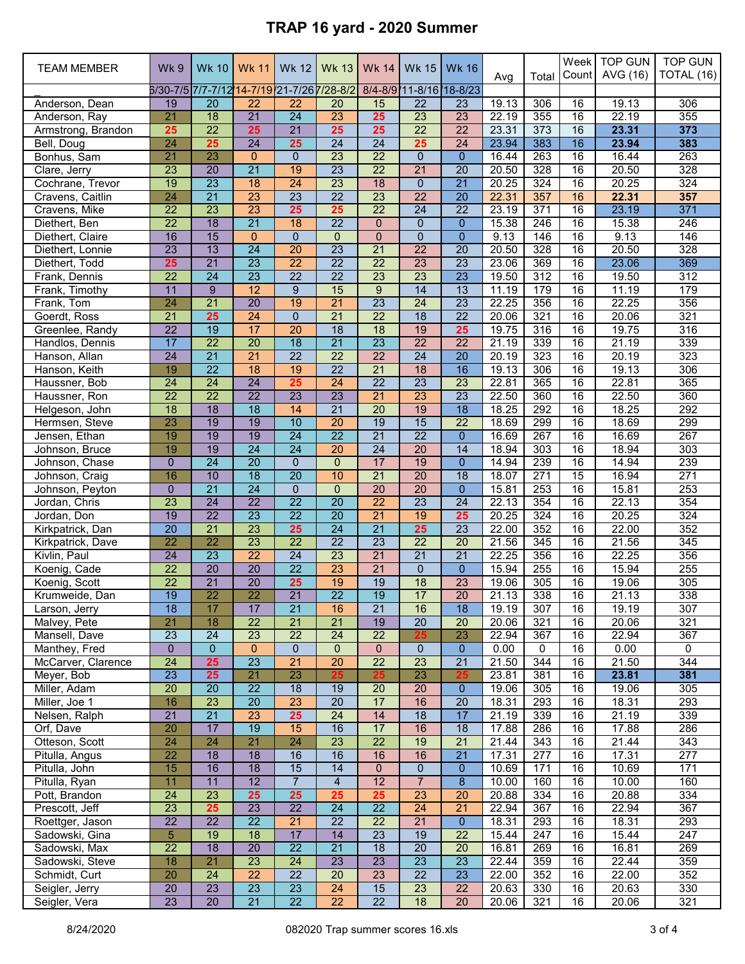| <b>TEAM MEMBER</b>              | <b>Wk9</b>                                 | <b>Wk 10</b>                       | Wk 11                              | Wk 12                 | Wk 13                              | Wk 14                              | Wk 15                              | <b>Wk 16</b>                       | Avg            | Total                   | Week<br>Count   | <b>TOP GUN</b><br>AVG (16) | <b>TOP GUN</b><br>TOTAL (16) |
|---------------------------------|--------------------------------------------|------------------------------------|------------------------------------|-----------------------|------------------------------------|------------------------------------|------------------------------------|------------------------------------|----------------|-------------------------|-----------------|----------------------------|------------------------------|
|                                 | 6/30-7/5 7/7-7/12 14-7/19 21-7/26 7/28-8/2 |                                    |                                    |                       |                                    |                                    | 8/4-8/9 11-8/16 18-8/23            |                                    |                |                         |                 |                            |                              |
| Anderson, Dean                  | $\overline{19}$                            | 20                                 | 22                                 | 22                    | 20                                 | 15                                 | 22                                 | 23                                 | 19.13          | 306                     | 16              | 19.13                      | 306                          |
| Anderson, Ray                   | 21                                         | 18                                 | $\overline{21}$                    | 24                    | 23                                 | 25                                 | 23                                 | 23                                 | 22.19          | 355                     | 16              | 22.19                      | 355                          |
| Armstrong, Brandon              | 25<br>24                                   | $\overline{22}$<br>25              | 25<br>$\overline{24}$              | $\overline{21}$<br>25 | 25<br>$\overline{24}$              | 25<br>$\overline{24}$              | $\overline{22}$<br>25              | $\overline{22}$<br>$\overline{24}$ | 23.31<br>23.94 | 373<br>383              | 16<br>16        | 23.31<br>23.94             | 373<br>383                   |
| Bell, Doug<br>Bonhus, Sam       | $\overline{21}$                            | 23                                 | $\mathbf{0}$                       | $\Omega$              | 23                                 | $\overline{22}$                    | $\mathbf 0$                        | $\overline{0}$                     | 16.44          | 263                     | 16              | 16.44                      | 263                          |
| Clare, Jerry                    | 23                                         | 20                                 | $\overline{21}$                    | 19                    | $\overline{23}$                    | 22                                 | $\overline{21}$                    | 20                                 | 20.50          | 328                     | 16              | 20.50                      | 328                          |
| Cochrane, Trevor                | 19                                         | $\overline{23}$                    | 18                                 | $\overline{24}$       | 23                                 | 18                                 | $\mathbf{0}$                       | $\overline{21}$                    | 20.25          | 324                     | 16              | 20.25                      | 324                          |
| Cravens, Caitlin                | 24                                         | $\overline{21}$                    | 23                                 | $\overline{23}$       | $\overline{22}$                    | $\overline{23}$                    | $\overline{22}$                    | $\overline{20}$                    | 22.31          | 357                     | 16              | 22.31                      | 357                          |
| Cravens, Mike                   | 22                                         | $\overline{23}$                    | $\overline{23}$                    | 25                    | 25                                 | 22                                 | 24                                 | 22                                 | 23.19          | 371                     | 16              | 23.19                      | 371                          |
| Diethert, Ben                   | $\overline{22}$                            | $\overline{18}$                    | $\overline{21}$                    | 18                    | $\overline{22}$                    | $\mathbf{0}$                       | $\mathbf{0}$                       | $\overline{0}$                     | 15.38          | 246                     | 16              | 15.38                      | 246                          |
| Diethert, Claire                | 16                                         | $\overline{15}$                    | $\mathbf{0}$                       | $\overline{0}$        | $\mathbf 0$                        | $\pmb{0}$                          | $\mathbf 0$                        | $\overline{0}$                     | 9.13           | 146                     | $\overline{16}$ | 9.13                       | 146                          |
| Diethert, Lonnie                | $\overline{23}$                            | $\overline{13}$                    | $\overline{24}$                    | $\overline{20}$       | $\overline{23}$                    | $\overline{21}$                    | $\overline{22}$                    | $\overline{20}$                    | 20.50          | 328                     | 16              | 20.50                      | 328                          |
| Diethert, Todd                  | 25                                         | $\overline{21}$                    | 23                                 | $\overline{22}$       | $\overline{22}$                    | $\overline{22}$                    | 23                                 | $\overline{23}$                    | 23.06          | 369                     | 16              | 23.06                      | 369                          |
| Frank, Dennis                   | $\overline{22}$                            | 24                                 | 23                                 | $\overline{22}$       | $\overline{22}$                    | 23                                 | 23                                 | $\overline{23}$                    | 19.50          | 312                     | 16              | 19.50                      | 312                          |
| Frank, Timothy                  | 11                                         | $9\,$                              | 12                                 | 9                     | 15                                 | 9                                  | 14                                 | 13                                 | 11.19          | 179                     | 16              | 11.19                      | 179                          |
| Frank, Tom                      | 24                                         | $\overline{21}$                    | $\overline{20}$                    | 19                    | $\overline{21}$                    | $\overline{23}$                    | $\overline{24}$                    | $\overline{23}$                    | 22.25          | 356                     | 16              | 22.25                      | 356                          |
| Goerdt, Ross                    | $\overline{21}$                            | 25                                 | 24                                 | $\overline{0}$        | $\overline{21}$                    | $\overline{22}$                    | $\overline{18}$                    | $\overline{22}$                    | 20.06          | 321                     | 16              | 20.06                      | 321                          |
| Greenlee, Randy                 | $\overline{22}$                            | 19                                 | 17                                 | 20                    | $\overline{18}$                    | $\overline{18}$                    | 19                                 | 25                                 | 19.75          | 316                     | 16              | 19.75                      | 316                          |
| Handlos, Dennis                 | 17<br>$\overline{24}$                      | $\overline{22}$                    | $\overline{20}$<br>$\overline{21}$ | $\overline{18}$<br>22 | $\overline{21}$<br>$\overline{22}$ | $\overline{23}$                    | $\overline{22}$                    | 22<br>$\overline{20}$              | 21.19          | 339                     | 16              | 21.19                      | 339                          |
| Hanson, Allan<br>Hanson, Keith  | 19                                         | $\overline{21}$<br>$\overline{22}$ | $\overline{18}$                    | $\overline{19}$       | $\overline{22}$                    | 22<br>$\overline{21}$              | 24<br>18                           | 16                                 | 20.19<br>19.13 | 323<br>306              | 16<br>16        | 20.19<br>19.13             | 323<br>306                   |
| Haussner, Bob                   | 24                                         | $\overline{24}$                    | 24                                 | 25                    | $\overline{24}$                    | $\overline{22}$                    | $\overline{23}$                    | 23                                 | 22.81          | 365                     | 16              | 22.81                      | 365                          |
| Haussner, Ron                   | $\overline{22}$                            | $\overline{22}$                    | $\overline{22}$                    | 23                    | 23                                 | $\overline{21}$                    | 23                                 | 23                                 | 22.50          | 360                     | $\overline{16}$ | 22.50                      | 360                          |
| Helgeson, John                  | $\overline{18}$                            | $\overline{18}$                    | $\overline{18}$                    | 14                    | $\overline{21}$                    | $\overline{20}$                    | 19                                 | $\overline{18}$                    | 18.25          | 292                     | 16              | 18.25                      | 292                          |
| Hermsen, Steve                  | 23                                         | 19                                 | 19                                 | 10                    | $\overline{20}$                    | 19                                 | 15                                 | 22                                 | 18.69          | 299                     | 16              | 18.69                      | 299                          |
| Jensen, Ethan                   | 19                                         | 19                                 | $\overline{19}$                    | $\overline{24}$       | $\overline{22}$                    | $\overline{21}$                    | $\overline{22}$                    | $\overline{0}$                     | 16.69          | 267                     | 16              | 16.69                      | 267                          |
| Johnson, Bruce                  | 19                                         | 19                                 | $\overline{24}$                    | 24                    | $\overline{20}$                    | 24                                 | 20                                 | 14                                 | 18.94          | 303                     | 16              | 18.94                      | 303                          |
| Johnson, Chase                  | $\overline{0}$                             | $\overline{24}$                    | $\overline{20}$                    | $\mathbf{0}$          | $\mathbf 0$                        | 17                                 | 19                                 | $\Omega$                           | 14.94          | 239                     | 16              | 14.94                      | 239                          |
| Johnson, Craig                  | 16                                         | 10                                 | 18                                 | $\overline{20}$       | 10                                 | $\overline{21}$                    | 20                                 | 18                                 | 18.07          | 271                     | 15              | 16.94                      | 271                          |
| Johnson, Peyton                 | $\Omega$                                   | $\overline{21}$                    | 24                                 | $\Omega$              | $\mathbf{0}$                       | 20                                 | 20                                 | 0                                  | 15.81          | 253                     | 16              | 15.81                      | 253                          |
| Jordan, Chris                   | 23                                         | 24                                 | $\overline{22}$                    | $\overline{22}$       | $\overline{20}$                    | $\overline{22}$                    | 23                                 | $\overline{24}$                    | 22.13          | 354                     | 16              | 22.13                      | 354                          |
| Jordan, Don                     | $\overline{19}$                            | $\overline{22}$                    | 23                                 | $\overline{22}$       | $\overline{20}$                    | $\overline{21}$                    | 19                                 | 25                                 | 20.25          | 324                     | 16              | 20.25                      | 324                          |
| Kirkpatrick, Dan                | $\overline{20}$                            | $\overline{21}$                    | $\overline{23}$                    | 25                    | $\overline{24}$                    | $\overline{21}$                    | 25                                 | $\overline{23}$                    | 22.00          | 352                     | 16              | 22.00                      | 352                          |
| Kirkpatrick, Dave               | 22<br>$\overline{24}$                      | $\overline{22}$<br>$\overline{23}$ | 23<br>$\overline{22}$              | 22<br>$\overline{24}$ | $\overline{22}$<br>$\overline{23}$ | $\overline{23}$<br>$\overline{21}$ | $\overline{22}$<br>$\overline{21}$ | 20<br>$\overline{21}$              | 21.56<br>22.25 | 345<br>356              | 16<br>16        | 21.56<br>22.25             | 345<br>356                   |
| Kivlin, Paul<br>Koenig, Cade    | $\overline{22}$                            | $\overline{20}$                    | $\overline{20}$                    | $\overline{22}$       | 23                                 | $\overline{21}$                    | $\mathbf 0$                        | $\overline{0}$                     | 15.94          | 255                     | 16              | 15.94                      | 255                          |
| Koenig, Scott                   | $\overline{22}$                            | $\overline{21}$                    | $\overline{20}$                    | 25                    | 19                                 | 19                                 | $\overline{18}$                    | 23                                 | 19.06          | 305                     | 16              | 19.06                      | 305                          |
| Krumweide, Dan                  | 19                                         | $\overline{22}$                    | $\overline{22}$                    | $\overline{21}$       | $\overline{22}$                    | 19                                 | 17                                 | 20                                 | 21.13          | 338                     | 16              | 21.13                      | 338                          |
| Larson, Jerry                   | 18                                         | 17                                 | 17                                 | 21                    | 16                                 | 21                                 | 16                                 | 18                                 | 19.19          | 307                     | 16              | 19.19                      | 307                          |
| Malvey, Pete                    | 21                                         | 18                                 | $\overline{22}$                    | $\overline{21}$       | 21                                 | 19                                 | 20                                 | 20                                 | 20.06          | 321                     | 16              | 20.06                      | 321                          |
| Mansell, Dave                   | $\overline{23}$                            | 24                                 | $\overline{23}$                    | 22                    | $\overline{24}$                    | 22                                 | 25                                 | 23                                 | 22.94          | 367                     | 16              | 22.94                      | 367                          |
| Manthey, Fred                   | 0                                          | $\mathbf 0$                        | $\mathbf{0}$                       | $\bf 0$               | $\pmb{0}$                          | $\mathbf 0$                        | $\mathbf{0}$                       | $\mathbf{0}$                       | 0.00           | $\mathbf 0$             | 16              | 0.00                       | $\mathbf 0$                  |
| McCarver, Clarence              | $\overline{24}$                            | 25                                 | $\overline{23}$                    | $\overline{21}$       | $\overline{20}$                    | $\overline{22}$                    | $\overline{23}$                    | $\overline{21}$                    | 21.50          | 344                     | 16              | 21.50                      | 344                          |
| Meyer, Bob                      | $\overline{23}$                            | 25                                 | $\overline{21}$                    | 23                    | 25                                 | 25                                 | 23                                 | 25                                 | 23.81          | 381                     | 16              | 23.81                      | 381                          |
| Miller, Adam                    | $\overline{20}$                            | 20                                 | $\overline{22}$                    | $\overline{18}$       | 19                                 | 20                                 | 20                                 | $\mathbf{0}$                       | 19.06          | 305                     | 16              | 19.06                      | 305                          |
| Miller, Joe 1                   | 16                                         | 23                                 | $\overline{20}$                    | 23                    | $\overline{20}$                    | 17                                 | 16                                 | 20                                 | 18.31          | 293                     | 16              | 18.31                      | 293                          |
| Nelsen, Ralph                   | $\overline{21}$                            | $\overline{21}$                    | 23                                 | 25                    | $\overline{24}$                    | 14                                 | $\overline{18}$                    | 17                                 | 21.19          | 339                     | 16              | 21.19                      | 339                          |
| Orf, Dave                       | 20                                         | 17                                 | 19                                 | 15                    | 16                                 | 17                                 | 16                                 | 18                                 | 17.88          | 286                     | 16              | 17.88                      | 286                          |
| Otteson, Scott                  | 24                                         | 24                                 | $\overline{21}$                    | 24                    | 23                                 | $\overline{22}$                    | 19                                 | $\overline{21}$<br>$\overline{21}$ | 21.44          | 343                     | 16              | 21.44                      | 343                          |
| Pitulla, Angus<br>Pitulla, John | $\overline{22}$<br>15                      | $\overline{18}$<br>16              | 18<br>$\overline{18}$              | 16<br>15              | 16<br>14                           | 16<br>$\pmb{0}$                    | 16<br>$\mathbf{0}$                 | $\overline{0}$                     | 17.31<br>10.69 | $\overline{277}$<br>171 | 16<br>16        | 17.31<br>10.69             | $\overline{277}$<br>171      |
| Pitulla, Ryan                   | 11                                         | $\overline{11}$                    | 12                                 | $\overline{7}$        | $\overline{4}$                     | 12                                 | $\overline{7}$                     | 8                                  | 10.00          | 160                     | 16              | 10.00                      | 160                          |
| Pott, Brandon                   | 24                                         | 23                                 | 25                                 | 25                    | 25                                 | 25                                 | 23                                 | 20                                 | 20.88          | 334                     | 16              | 20.88                      | 334                          |
| Prescott, Jeff                  | 23                                         | 25                                 | 23                                 | $\overline{22}$       | 24                                 | $\overline{22}$                    | 24                                 | $\overline{21}$                    | 22.94          | 367                     | 16              | 22.94                      | 367                          |
| Roettger, Jason                 | $\overline{22}$                            | $\overline{22}$                    | $\overline{22}$                    | $\overline{21}$       | $\overline{22}$                    | 22                                 | $\overline{21}$                    | $\overline{0}$                     | 18.31          | 293                     | 16              | 18.31                      | 293                          |
| Sadowski, Gina                  | 5                                          | 19                                 | 18                                 | 17                    | 14                                 | 23                                 | 19                                 | $\overline{22}$                    | 15.44          | $\overline{247}$        | $\overline{16}$ | 15.44                      | 247                          |
| Sadowski, Max                   | $\overline{22}$                            | $\overline{18}$                    | $\overline{20}$                    | $\overline{22}$       | $\overline{21}$                    | $\overline{18}$                    | $\overline{20}$                    | 20                                 | 16.81          | 269                     | 16              | 16.81                      | 269                          |
| Sadowski, Steve                 | 18                                         | $\overline{21}$                    | 23                                 | $\overline{24}$       | $\overline{23}$                    | $\overline{23}$                    | $\overline{23}$                    | 23                                 | 22.44          | 359                     | 16              | 22.44                      | 359                          |
| Schmidt, Curt                   | 20                                         | 24                                 | $\overline{22}$                    | 22                    | $\overline{20}$                    | 23                                 | 22                                 | 23                                 | 22.00          | 352                     | 16              | 22.00                      | 352                          |
| Seigler, Jerry                  | $\overline{20}$                            | 23                                 | $\overline{23}$                    | 23                    | 24                                 | 15                                 | 23                                 | $\overline{22}$                    | 20.63          | 330                     | 16              | 20.63                      | 330                          |
| Seigler, Vera                   | $\overline{23}$                            | $\overline{20}$                    | $\overline{21}$                    | $\overline{22}$       | $\overline{22}$                    | $\overline{22}$                    | $\overline{18}$                    | 20                                 | 20.06          | 321                     | 16              | 20.06                      | 321                          |